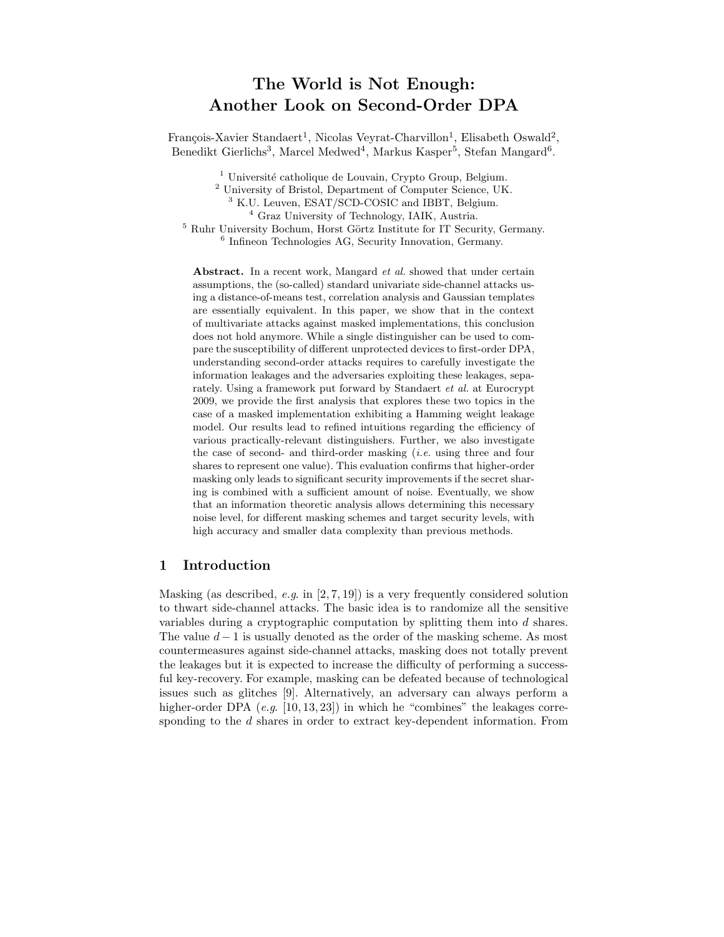# The World is Not Enough: Another Look on Second-Order DPA

François-Xavier Standaert<sup>1</sup>, Nicolas Veyrat-Charvillon<sup>1</sup>, Elisabeth Oswald<sup>2</sup>, Benedikt Gierlichs<sup>3</sup>, Marcel Medwed<sup>4</sup>, Markus Kasper<sup>5</sup>, Stefan Mangard<sup>6</sup>.

 $1$  Université catholique de Louvain, Crypto Group, Belgium.

<sup>2</sup> University of Bristol, Department of Computer Science, UK.

<sup>3</sup> K.U. Leuven, ESAT/SCD-COSIC and IBBT, Belgium. <sup>4</sup> Graz University of Technology, IAIK, Austria.

 $5$  Ruhr University Bochum, Horst Görtz Institute for IT Security, Germany. 6 Infineon Technologies AG, Security Innovation, Germany.

Abstract. In a recent work, Mangard et al. showed that under certain assumptions, the (so-called) standard univariate side-channel attacks using a distance-of-means test, correlation analysis and Gaussian templates are essentially equivalent. In this paper, we show that in the context of multivariate attacks against masked implementations, this conclusion does not hold anymore. While a single distinguisher can be used to compare the susceptibility of different unprotected devices to first-order DPA, understanding second-order attacks requires to carefully investigate the information leakages and the adversaries exploiting these leakages, separately. Using a framework put forward by Standaert et al. at Eurocrypt 2009, we provide the first analysis that explores these two topics in the case of a masked implementation exhibiting a Hamming weight leakage model. Our results lead to refined intuitions regarding the efficiency of various practically-relevant distinguishers. Further, we also investigate the case of second- and third-order masking  $(i.e.$  using three and four shares to represent one value). This evaluation confirms that higher-order masking only leads to significant security improvements if the secret sharing is combined with a sufficient amount of noise. Eventually, we show that an information theoretic analysis allows determining this necessary noise level, for different masking schemes and target security levels, with high accuracy and smaller data complexity than previous methods.

## 1 Introduction

Masking (as described, *e.g.* in  $[2, 7, 19]$ ) is a very frequently considered solution to thwart side-channel attacks. The basic idea is to randomize all the sensitive variables during a cryptographic computation by splitting them into d shares. The value  $d-1$  is usually denoted as the order of the masking scheme. As most countermeasures against side-channel attacks, masking does not totally prevent the leakages but it is expected to increase the difficulty of performing a successful key-recovery. For example, masking can be defeated because of technological issues such as glitches [9]. Alternatively, an adversary can always perform a higher-order DPA  $(e.g. [10, 13, 23])$  in which he "combines" the leakages corresponding to the d shares in order to extract key-dependent information. From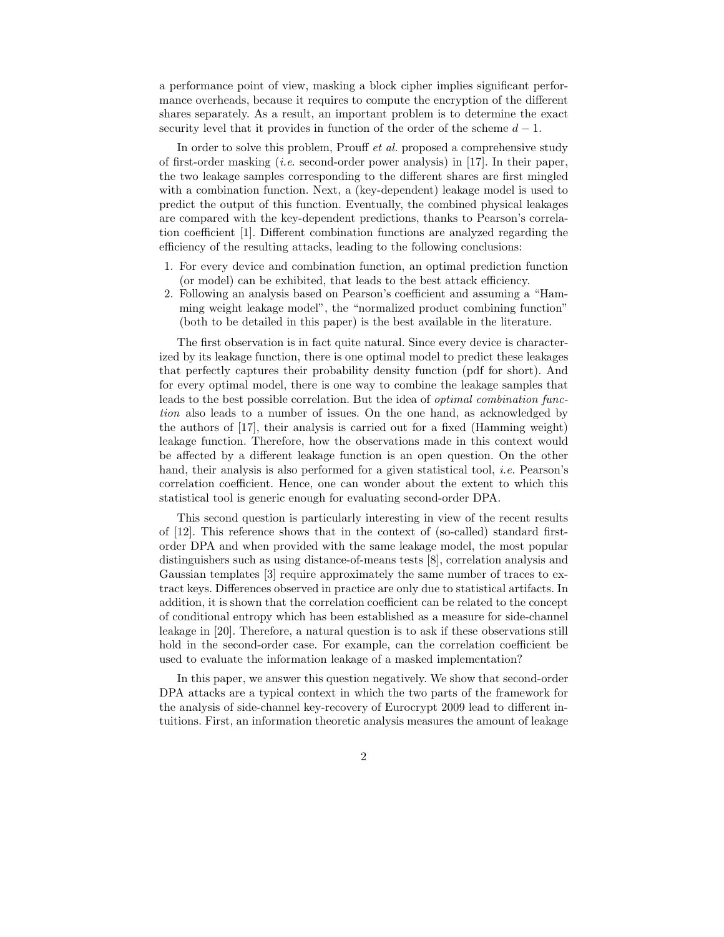a performance point of view, masking a block cipher implies significant performance overheads, because it requires to compute the encryption of the different shares separately. As a result, an important problem is to determine the exact security level that it provides in function of the order of the scheme  $d-1$ .

In order to solve this problem, Prouff *et al.* proposed a comprehensive study of first-order masking (i.e. second-order power analysis) in [17]. In their paper, the two leakage samples corresponding to the different shares are first mingled with a combination function. Next, a (key-dependent) leakage model is used to predict the output of this function. Eventually, the combined physical leakages are compared with the key-dependent predictions, thanks to Pearson's correlation coefficient [1]. Different combination functions are analyzed regarding the efficiency of the resulting attacks, leading to the following conclusions:

- 1. For every device and combination function, an optimal prediction function (or model) can be exhibited, that leads to the best attack efficiency.
- 2. Following an analysis based on Pearson's coefficient and assuming a "Hamming weight leakage model", the "normalized product combining function" (both to be detailed in this paper) is the best available in the literature.

The first observation is in fact quite natural. Since every device is characterized by its leakage function, there is one optimal model to predict these leakages that perfectly captures their probability density function (pdf for short). And for every optimal model, there is one way to combine the leakage samples that leads to the best possible correlation. But the idea of optimal combination function also leads to a number of issues. On the one hand, as acknowledged by the authors of [17], their analysis is carried out for a fixed (Hamming weight) leakage function. Therefore, how the observations made in this context would be affected by a different leakage function is an open question. On the other hand, their analysis is also performed for a given statistical tool, i.e. Pearson's correlation coefficient. Hence, one can wonder about the extent to which this statistical tool is generic enough for evaluating second-order DPA.

This second question is particularly interesting in view of the recent results of [12]. This reference shows that in the context of (so-called) standard firstorder DPA and when provided with the same leakage model, the most popular distinguishers such as using distance-of-means tests [8], correlation analysis and Gaussian templates [3] require approximately the same number of traces to extract keys. Differences observed in practice are only due to statistical artifacts. In addition, it is shown that the correlation coefficient can be related to the concept of conditional entropy which has been established as a measure for side-channel leakage in [20]. Therefore, a natural question is to ask if these observations still hold in the second-order case. For example, can the correlation coefficient be used to evaluate the information leakage of a masked implementation?

In this paper, we answer this question negatively. We show that second-order DPA attacks are a typical context in which the two parts of the framework for the analysis of side-channel key-recovery of Eurocrypt 2009 lead to different intuitions. First, an information theoretic analysis measures the amount of leakage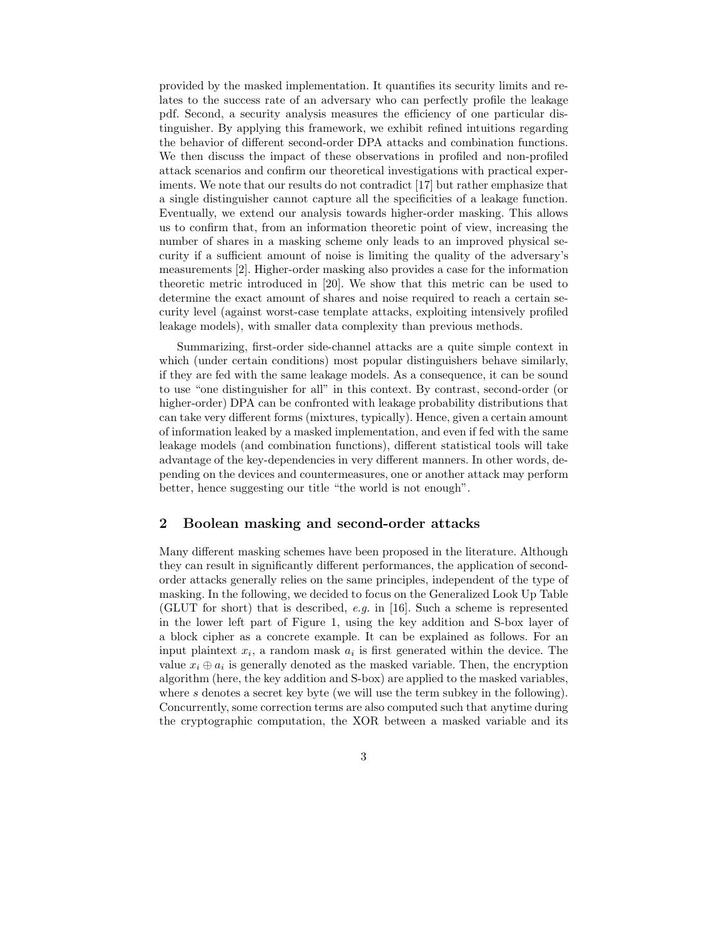provided by the masked implementation. It quantifies its security limits and relates to the success rate of an adversary who can perfectly profile the leakage pdf. Second, a security analysis measures the efficiency of one particular distinguisher. By applying this framework, we exhibit refined intuitions regarding the behavior of different second-order DPA attacks and combination functions. We then discuss the impact of these observations in profiled and non-profiled attack scenarios and confirm our theoretical investigations with practical experiments. We note that our results do not contradict [17] but rather emphasize that a single distinguisher cannot capture all the specificities of a leakage function. Eventually, we extend our analysis towards higher-order masking. This allows us to confirm that, from an information theoretic point of view, increasing the number of shares in a masking scheme only leads to an improved physical security if a sufficient amount of noise is limiting the quality of the adversary's measurements [2]. Higher-order masking also provides a case for the information theoretic metric introduced in [20]. We show that this metric can be used to determine the exact amount of shares and noise required to reach a certain security level (against worst-case template attacks, exploiting intensively profiled leakage models), with smaller data complexity than previous methods.

Summarizing, first-order side-channel attacks are a quite simple context in which (under certain conditions) most popular distinguishers behave similarly, if they are fed with the same leakage models. As a consequence, it can be sound to use "one distinguisher for all" in this context. By contrast, second-order (or higher-order) DPA can be confronted with leakage probability distributions that can take very different forms (mixtures, typically). Hence, given a certain amount of information leaked by a masked implementation, and even if fed with the same leakage models (and combination functions), different statistical tools will take advantage of the key-dependencies in very different manners. In other words, depending on the devices and countermeasures, one or another attack may perform better, hence suggesting our title "the world is not enough".

#### 2 Boolean masking and second-order attacks

Many different masking schemes have been proposed in the literature. Although they can result in significantly different performances, the application of secondorder attacks generally relies on the same principles, independent of the type of masking. In the following, we decided to focus on the Generalized Look Up Table (GLUT for short) that is described, e.g. in [16]. Such a scheme is represented in the lower left part of Figure 1, using the key addition and S-box layer of a block cipher as a concrete example. It can be explained as follows. For an input plaintext  $x_i$ , a random mask  $a_i$  is first generated within the device. The value  $x_i \oplus a_i$  is generally denoted as the masked variable. Then, the encryption algorithm (here, the key addition and S-box) are applied to the masked variables, where s denotes a secret key byte (we will use the term subkey in the following). Concurrently, some correction terms are also computed such that anytime during the cryptographic computation, the XOR between a masked variable and its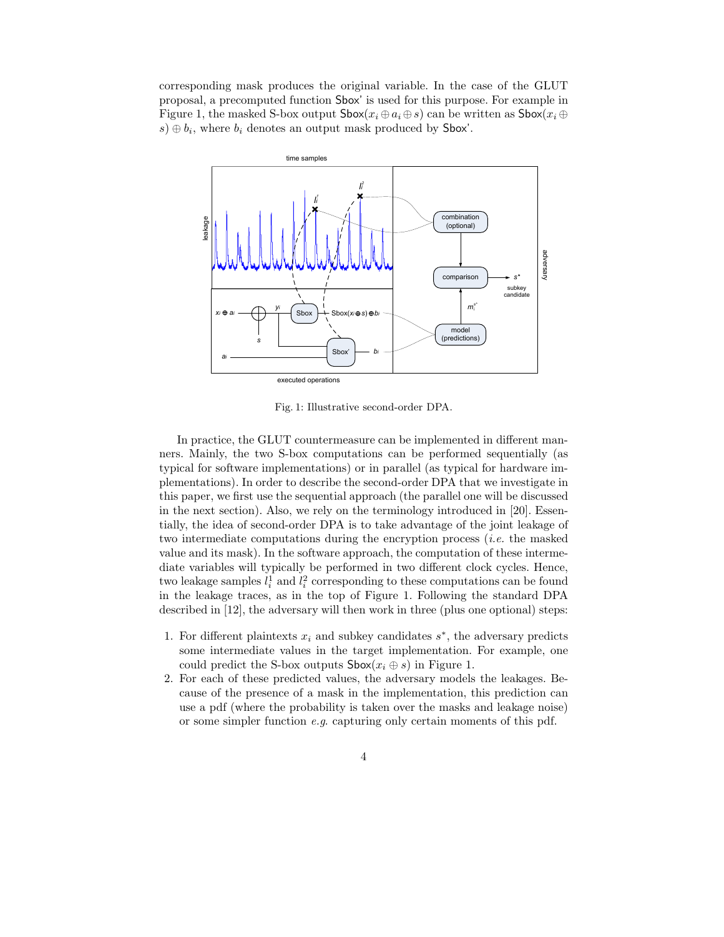corresponding mask produces the original variable. In the case of the GLUT proposal, a precomputed function Sbox' is used for this purpose. For example in Figure 1, the masked S-box output  $\mathsf{Sbox}(x_i \oplus a_i \oplus s)$  can be written as  $\mathsf{Sbox}(x_i \oplus s)$  $s) \oplus b_i$ , where  $b_i$  denotes an output mask produced by Sbox'.



Fig. 1: Illustrative second-order DPA.

In practice, the GLUT countermeasure can be implemented in different manners. Mainly, the two S-box computations can be performed sequentially (as typical for software implementations) or in parallel (as typical for hardware implementations). In order to describe the second-order DPA that we investigate in this paper, we first use the sequential approach (the parallel one will be discussed in the next section). Also, we rely on the terminology introduced in [20]. Essentially, the idea of second-order DPA is to take advantage of the joint leakage of two intermediate computations during the encryption process  $(i.e.$  the masked value and its mask). In the software approach, the computation of these intermediate variables will typically be performed in two different clock cycles. Hence, two leakage samples  $l_i^1$  and  $l_i^2$  corresponding to these computations can be found in the leakage traces, as in the top of Figure 1. Following the standard DPA described in [12], the adversary will then work in three (plus one optional) steps:

- 1. For different plaintexts  $x_i$  and subkey candidates  $s^*$ , the adversary predicts some intermediate values in the target implementation. For example, one could predict the S-box outputs  $\text{Sbox}(x_i \oplus s)$  in Figure 1.
- 2. For each of these predicted values, the adversary models the leakages. Because of the presence of a mask in the implementation, this prediction can use a pdf (where the probability is taken over the masks and leakage noise) or some simpler function e.g. capturing only certain moments of this pdf.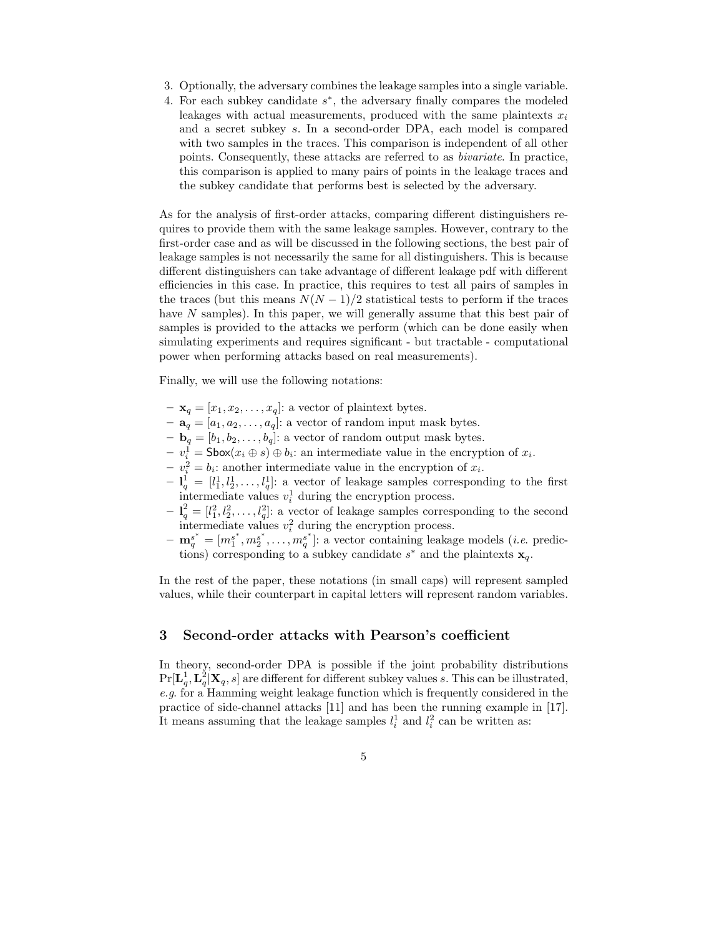- 3. Optionally, the adversary combines the leakage samples into a single variable.
- 4. For each subkey candidate  $s^*$ , the adversary finally compares the modeled leakages with actual measurements, produced with the same plaintexts  $x_i$ and a secret subkey s. In a second-order DPA, each model is compared with two samples in the traces. This comparison is independent of all other points. Consequently, these attacks are referred to as bivariate. In practice, this comparison is applied to many pairs of points in the leakage traces and the subkey candidate that performs best is selected by the adversary.

As for the analysis of first-order attacks, comparing different distinguishers requires to provide them with the same leakage samples. However, contrary to the first-order case and as will be discussed in the following sections, the best pair of leakage samples is not necessarily the same for all distinguishers. This is because different distinguishers can take advantage of different leakage pdf with different efficiencies in this case. In practice, this requires to test all pairs of samples in the traces (but this means  $N(N-1)/2$  statistical tests to perform if the traces have N samples). In this paper, we will generally assume that this best pair of samples is provided to the attacks we perform (which can be done easily when simulating experiments and requires significant - but tractable - computational power when performing attacks based on real measurements).

Finally, we will use the following notations:

- $\mathbf{x}_q = [x_1, x_2, \dots, x_q]$ : a vector of plaintext bytes.
- $\mathbf{a}_q = [a_1, a_2, \dots, a_q]$ : a vector of random input mask bytes.
- $-\mathbf{b}_q = [b_1, b_2, \dots, b_q]$ : a vector of random output mask bytes.
- $v_i^{\hat{i}} = \text{Sbox}(x_i \oplus s) \oplus b_i$ : an intermediate value in the encryption of  $x_i$ .
- $v_i^2 = b_i$ : another intermediate value in the encryption of  $x_i$ .
- $\mathbf{1}_q^{\mathbf{i}} = [l_1^1, l_2^1, \ldots, l_q^1]$ : a vector of leakage samples corresponding to the first intermediate values  $v_i^1$  during the encryption process.
- $\mathbf{l}_q^2 = [l_1^2, l_2^2, \dots, l_q^2]$ : a vector of leakage samples corresponding to the second intermediate values  $v_i^2$  during the encryption process.
- $\mathbf{m}_{q}^{s^*} = [m_1^{s^*}, m_2^{s^*}, \ldots, m_q^{s^*}]$  $\binom{s^*}{q}$ : a vector containing leakage models *(i.e.* predictions) corresponding to a subkey candidate  $s^*$  and the plaintexts  $\mathbf{x}_q$ .

In the rest of the paper, these notations (in small caps) will represent sampled values, while their counterpart in capital letters will represent random variables.

### 3 Second-order attacks with Pearson's coefficient

In theory, second-order DPA is possible if the joint probability distributions  $\Pr[\mathbf{L}^1_q$  $_q^1, \mathbf{L}_q^{\Huge{\ddot{2}}}$  $\frac{2}{q}$  |**X**<sub>q</sub>, *s*] are different for different subkey values *s*. This can be illustrated, e.g. for a Hamming weight leakage function which is frequently considered in the practice of side-channel attacks [11] and has been the running example in [17]. It means assuming that the leakage samples  $l_i^1$  and  $l_i^2$  can be written as: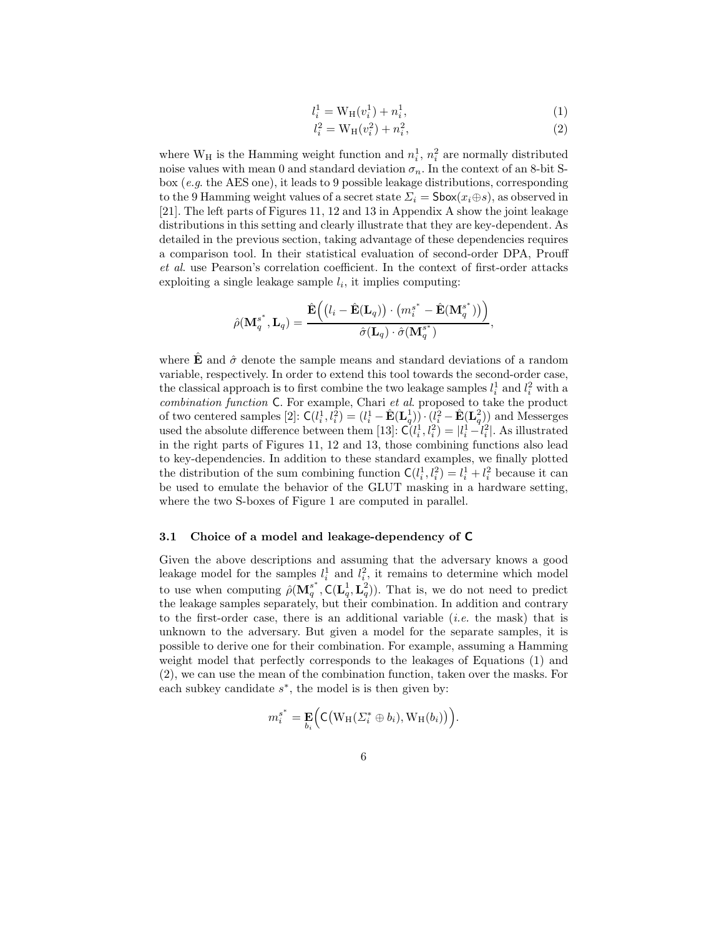$$
l_i^1 = W_H(v_i^1) + n_i^1,\t\t(1)
$$

$$
l_i^2 = W_H(v_i^2) + n_i^2,
$$
\n(2)

where  $W_H$  is the Hamming weight function and  $n_i^1$ ,  $n_i^2$  are normally distributed noise values with mean 0 and standard deviation  $\sigma_n$ . In the context of an 8-bit Sbox (e.g. the AES one), it leads to 9 possible leakage distributions, corresponding to the 9 Hamming weight values of a secret state  $\Sigma_i = \mathsf{Sbox}(x_i \oplus s)$ , as observed in [21]. The left parts of Figures 11, 12 and 13 in Appendix A show the joint leakage distributions in this setting and clearly illustrate that they are key-dependent. As detailed in the previous section, taking advantage of these dependencies requires a comparison tool. In their statistical evaluation of second-order DPA, Prouff et al. use Pearson's correlation coefficient. In the context of first-order attacks exploiting a single leakage sample  $l_i$ , it implies computing:

$$
\hat{\rho}({\mathbf{M}_q^{s^*}}, \mathbf{L}_q) = \frac{\hat{\mathbf{E}}\Big(\big(l_i - \hat{\mathbf{E}}(\mathbf{L}_q)\big) \cdot \big(m_i^{s^*} - \hat{\mathbf{E}}({\mathbf{M}_q^{s^*}})\big)\Big)}{\hat{\sigma}(\mathbf{L}_q) \cdot \hat{\sigma}({\mathbf{M}_q^{s^*}})} ,
$$

where  $\hat{\mathbf{E}}$  and  $\hat{\sigma}$  denote the sample means and standard deviations of a random variable, respectively. In order to extend this tool towards the second-order case, the classical approach is to first combine the two leakage samples  $l_i^1$  and  $l_i^2$  with a combination function C. For example, Chari et al. proposed to take the product of two centered samples [2]:  $\mathsf{C}(l_i^1, l_i^2) = (l_i^1 - \hat{\mathbf{E}}(\mathbf{L}_q^1))$  $\left(\frac{1}{q}\right)\right)\cdot (\dot{l}_i^2 - \hat{\mathbf{E}})\mathbf{L}_q^2$  $\binom{2}{q}$ ) and Messerges used the absolute difference between them [13]:  $\mathcal{C}(l_i^1, l_i^2) = |l_i^1 - l_i^2|$ . As illustrated in the right parts of Figures 11, 12 and 13, those combining functions also lead to key-dependencies. In addition to these standard examples, we finally plotted the distribution of the sum combining function  $\mathsf{C}(l_i^1,l_i^2) = l_i^1 + l_i^2$  because it can be used to emulate the behavior of the GLUT masking in a hardware setting, where the two S-boxes of Figure 1 are computed in parallel.

#### 3.1 Choice of a model and leakage-dependency of C

Given the above descriptions and assuming that the adversary knows a good leakage model for the samples  $l_i^1$  and  $l_i^2$ , it remains to determine which model to use when computing  $\hat{\rho}(\mathbf{M}_a^{s^*})$  $_g^{s^*}, \mathsf{C}(\mathbf{L}_q^1)$  $\frac{1}{q}, \mathbf{L}^{\overset{.}{2}}_q$  $\binom{2}{q}$ ). That is, we do not need to predict the leakage samples separately, but their combination. In addition and contrary to the first-order case, there is an additional variable (i.e. the mask) that is unknown to the adversary. But given a model for the separate samples, it is possible to derive one for their combination. For example, assuming a Hamming weight model that perfectly corresponds to the leakages of Equations (1) and (2), we can use the mean of the combination function, taken over the masks. For each subkey candidate  $s^*$ , the model is is then given by:

$$
m_i^{s^*} = \mathop{\mathbf{E}}_{b_i} \Bigl( \mathsf{C} \bigl( \mathsf{W}_{\mathsf{H}} (\varSigma_i^* \oplus b_i), \mathsf{W}_{\mathsf{H}} (b_i) \bigr) \Bigr).
$$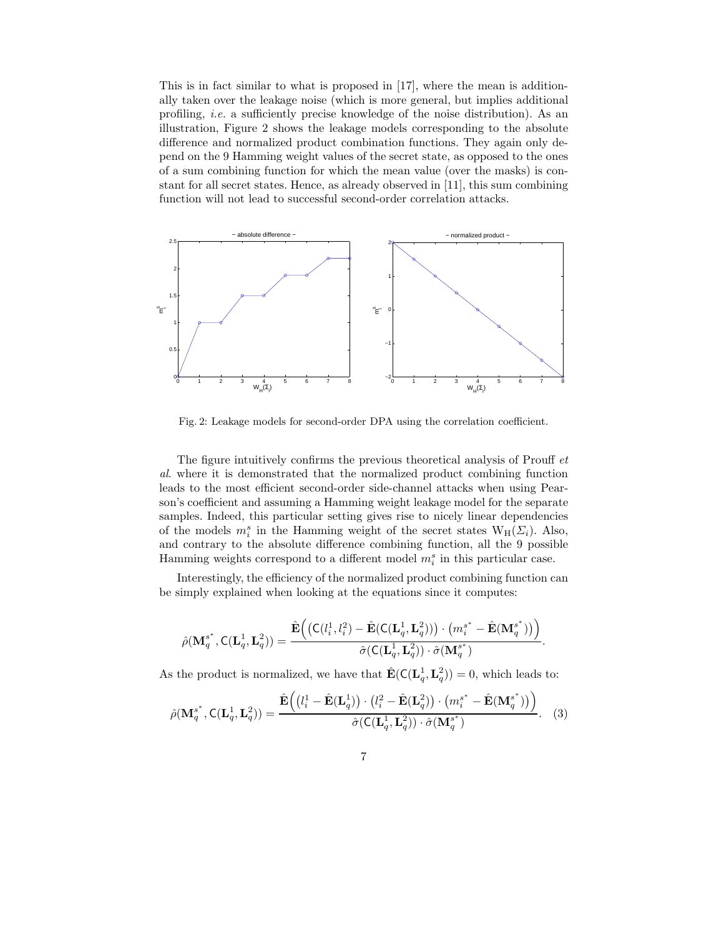This is in fact similar to what is proposed in [17], where the mean is additionally taken over the leakage noise (which is more general, but implies additional profiling, i.e. a sufficiently precise knowledge of the noise distribution). As an illustration, Figure 2 shows the leakage models corresponding to the absolute difference and normalized product combination functions. They again only depend on the 9 Hamming weight values of the secret state, as opposed to the ones of a sum combining function for which the mean value (over the masks) is constant for all secret states. Hence, as already observed in [11], this sum combining function will not lead to successful second-order correlation attacks.



Fig. 2: Leakage models for second-order DPA using the correlation coefficient.

The figure intuitively confirms the previous theoretical analysis of Prouff et al. where it is demonstrated that the normalized product combining function leads to the most efficient second-order side-channel attacks when using Pearson's coefficient and assuming a Hamming weight leakage model for the separate samples. Indeed, this particular setting gives rise to nicely linear dependencies of the models  $m_i^s$  in the Hamming weight of the secret states  $W_H(\Sigma_i)$ . Also, and contrary to the absolute difference combining function, all the 9 possible Hamming weights correspond to a different model  $m_i^s$  in this particular case.

Interestingly, the efficiency of the normalized product combining function can be simply explained when looking at the equations since it computes:

$$
\hat{\rho}(\mathbf{M}_q^{s^*},\mathsf{C}(\mathbf{L}_q^1,\mathbf{L}_q^2))=\frac{\hat{\mathbf{E}}\Big(\big(\mathsf{C}(l_i^1,l_i^2)-\hat{\mathbf{E}}(\mathsf{C}(\mathbf{L}_q^1,\mathbf{L}_q^2))\big)\cdot\big(m_i^{s^*}-\hat{\mathbf{E}}(\mathbf{M}_q^{s^*})\big)\Big)}{\hat{\sigma}(\mathsf{C}(\mathbf{L}_q^1,\mathbf{L}_q^2))\cdot\hat{\sigma}(\mathbf{M}_q^{s^*})}
$$

.

As the product is normalized, we have that  $\hat{\mathbf{E}}(\mathsf{C}(\mathbf{L}_q^1))$  $\frac{1}{q}, \mathbf{L}_q^2$  $\binom{2}{q}$ ) = 0, which leads to:

$$
\hat{\rho}(\mathbf{M}_q^{s^*}, \mathsf{C}(\mathbf{L}_q^1, \mathbf{L}_q^2)) = \frac{\hat{\mathbf{E}}\left( (l_i^1 - \hat{\mathbf{E}}(\mathbf{L}_q^1)) \cdot (l_i^2 - \hat{\mathbf{E}}(\mathbf{L}_q^2)) \cdot (m_i^{s^*} - \hat{\mathbf{E}}(\mathbf{M}_q^{s^*})) \right)}{\hat{\sigma}(\mathsf{C}(\mathbf{L}_q^1, \mathbf{L}_q^2)) \cdot \hat{\sigma}(\mathbf{M}_q^{s^*})}.
$$
 (3)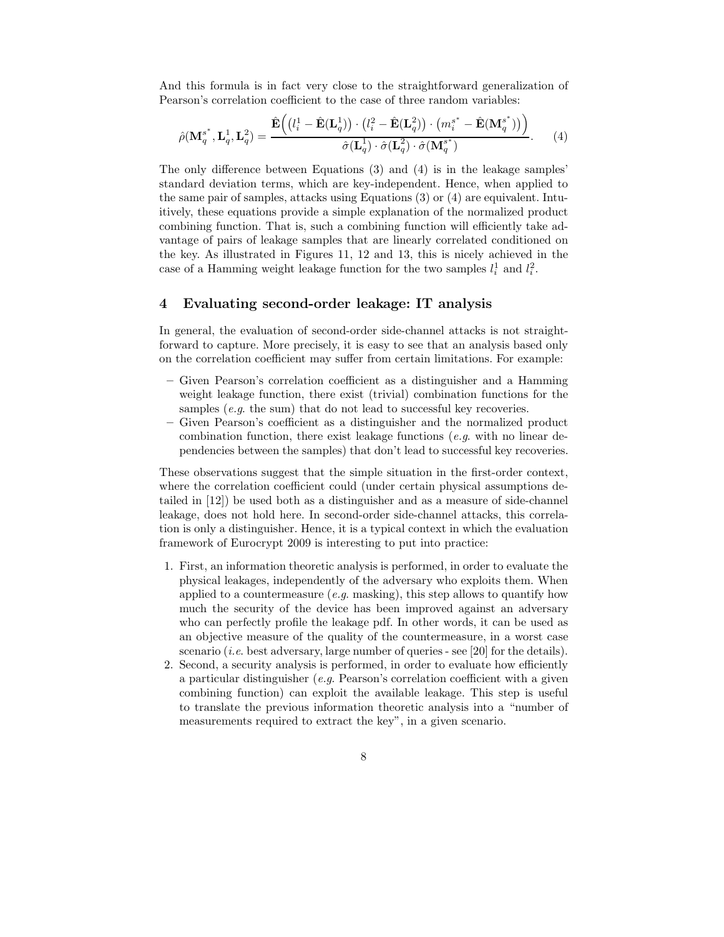And this formula is in fact very close to the straightforward generalization of Pearson's correlation coefficient to the case of three random variables:

$$
\hat{\rho}(\mathbf{M}_q^{s^*}, \mathbf{L}_q^1, \mathbf{L}_q^2) = \frac{\hat{\mathbf{E}}\left( (l_i^1 - \hat{\mathbf{E}}(\mathbf{L}_q^1)) \cdot (l_i^2 - \hat{\mathbf{E}}(\mathbf{L}_q^2)) \cdot (m_i^{s^*} - \hat{\mathbf{E}}(\mathbf{M}_q^{s^*})) \right)}{\hat{\sigma}(\mathbf{L}_q^1) \cdot \hat{\sigma}(\mathbf{L}_q^2) \cdot \hat{\sigma}(\mathbf{M}_q^{s^*})}.
$$
(4)

The only difference between Equations (3) and (4) is in the leakage samples' standard deviation terms, which are key-independent. Hence, when applied to the same pair of samples, attacks using Equations (3) or (4) are equivalent. Intuitively, these equations provide a simple explanation of the normalized product combining function. That is, such a combining function will efficiently take advantage of pairs of leakage samples that are linearly correlated conditioned on the key. As illustrated in Figures 11, 12 and 13, this is nicely achieved in the case of a Hamming weight leakage function for the two samples  $l_i^1$  and  $l_i^2$ .

#### 4 Evaluating second-order leakage: IT analysis

In general, the evaluation of second-order side-channel attacks is not straightforward to capture. More precisely, it is easy to see that an analysis based only on the correlation coefficient may suffer from certain limitations. For example:

- Given Pearson's correlation coefficient as a distinguisher and a Hamming weight leakage function, there exist (trivial) combination functions for the samples (e.g. the sum) that do not lead to successful key recoveries.
- Given Pearson's coefficient as a distinguisher and the normalized product combination function, there exist leakage functions  $(e.g.$  with no linear dependencies between the samples) that don't lead to successful key recoveries.

These observations suggest that the simple situation in the first-order context, where the correlation coefficient could (under certain physical assumptions detailed in [12]) be used both as a distinguisher and as a measure of side-channel leakage, does not hold here. In second-order side-channel attacks, this correlation is only a distinguisher. Hence, it is a typical context in which the evaluation framework of Eurocrypt 2009 is interesting to put into practice:

- 1. First, an information theoretic analysis is performed, in order to evaluate the physical leakages, independently of the adversary who exploits them. When applied to a countermeasure  $(e.g.$  masking), this step allows to quantify how much the security of the device has been improved against an adversary who can perfectly profile the leakage pdf. In other words, it can be used as an objective measure of the quality of the countermeasure, in a worst case scenario (*i.e.* best adversary, large number of queries - see [20] for the details).
- 2. Second, a security analysis is performed, in order to evaluate how efficiently a particular distinguisher (e.g. Pearson's correlation coefficient with a given combining function) can exploit the available leakage. This step is useful to translate the previous information theoretic analysis into a "number of measurements required to extract the key", in a given scenario.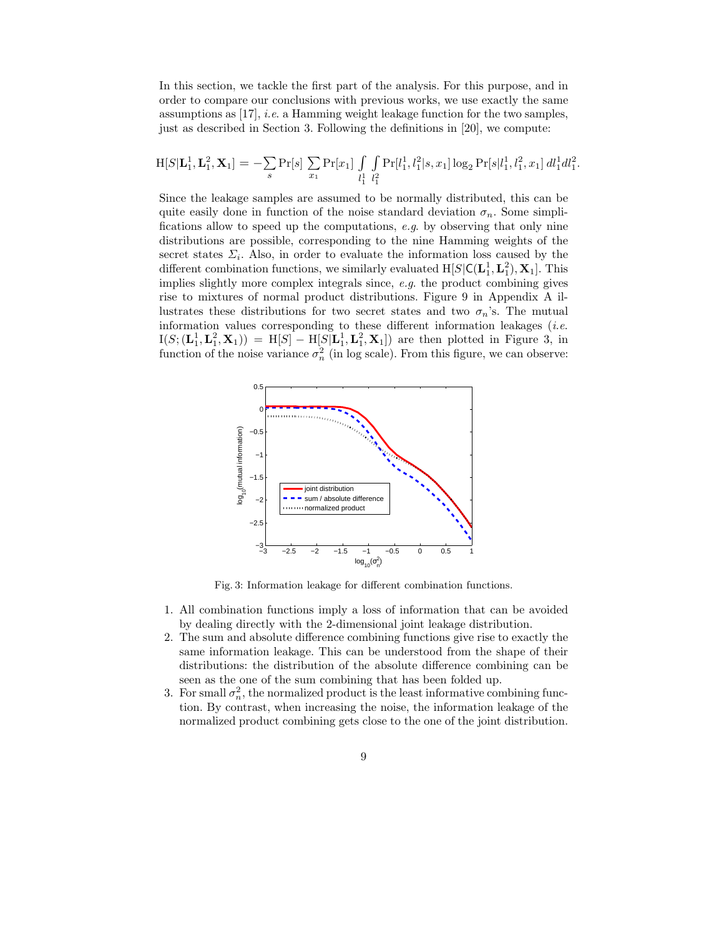In this section, we tackle the first part of the analysis. For this purpose, and in order to compare our conclusions with previous works, we use exactly the same assumptions as  $[17]$ , *i.e.* a Hamming weight leakage function for the two samples, just as described in Section 3. Following the definitions in [20], we compute:

$$
H[S|L_1^1, L_1^2, X_1] = -\sum_{s} \Pr[s] \sum_{x_1} \Pr[x_1] \int_{l_1^1} \int_{l_1^2} \Pr[l_1^1, l_1^2|s, x_1] \log_2 \Pr[s|l_1^1, l_1^2, x_1] \, dl_1^1 dl_1^2.
$$

Since the leakage samples are assumed to be normally distributed, this can be quite easily done in function of the noise standard deviation  $\sigma_n$ . Some simplifications allow to speed up the computations, e.g. by observing that only nine distributions are possible, corresponding to the nine Hamming weights of the secret states  $\Sigma_i$ . Also, in order to evaluate the information loss caused by the different combination functions, we similarly evaluated  $H[S]C(\mathbf{L}_1^1, \mathbf{L}_1^2), \mathbf{X}_1]$ . This implies slightly more complex integrals since, e.g. the product combining gives rise to mixtures of normal product distributions. Figure 9 in Appendix A illustrates these distributions for two secret states and two  $\sigma_n$ 's. The mutual information values corresponding to these different information leakages  $(i.e.$  $I(S; (L_1^1, L_1^2, X_1)) = H[S] - H[S]L_1^1, L_1^2, X_1]$  are then plotted in Figure 3, in function of the noise variance  $\sigma_n^2$  (in log scale). From this figure, we can observe:



Fig. 3: Information leakage for different combination functions.

- 1. All combination functions imply a loss of information that can be avoided by dealing directly with the 2-dimensional joint leakage distribution.
- 2. The sum and absolute difference combining functions give rise to exactly the same information leakage. This can be understood from the shape of their distributions: the distribution of the absolute difference combining can be seen as the one of the sum combining that has been folded up.
- 3. For small  $\sigma_n^2$ , the normalized product is the least informative combining function. By contrast, when increasing the noise, the information leakage of the normalized product combining gets close to the one of the joint distribution.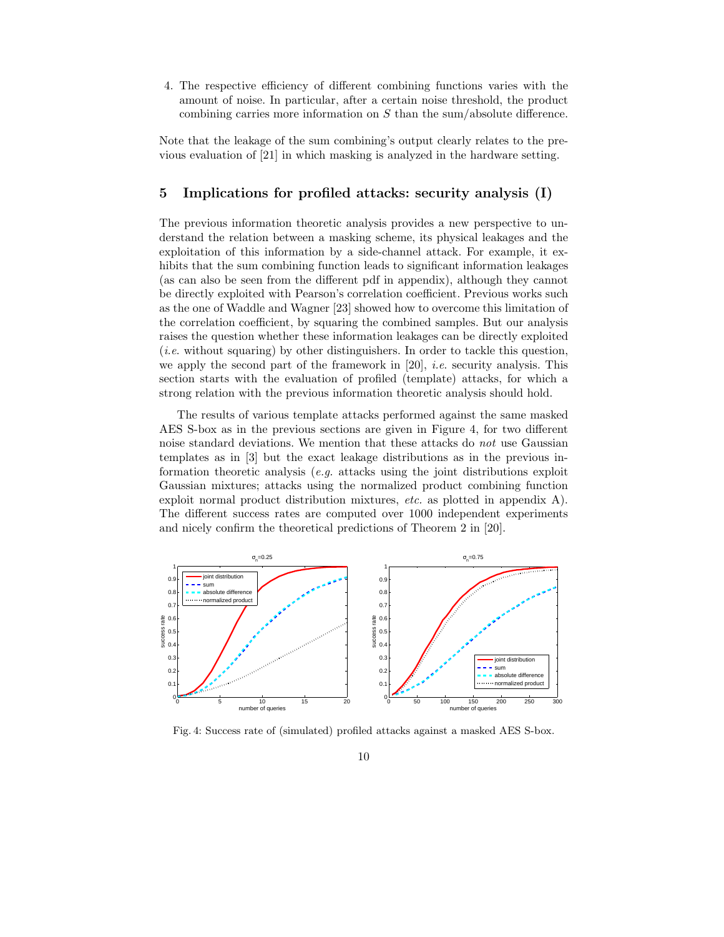4. The respective efficiency of different combining functions varies with the amount of noise. In particular, after a certain noise threshold, the product combining carries more information on S than the sum/absolute difference.

Note that the leakage of the sum combining's output clearly relates to the previous evaluation of [21] in which masking is analyzed in the hardware setting.

## 5 Implications for profiled attacks: security analysis (I)

The previous information theoretic analysis provides a new perspective to understand the relation between a masking scheme, its physical leakages and the exploitation of this information by a side-channel attack. For example, it exhibits that the sum combining function leads to significant information leakages (as can also be seen from the different pdf in appendix), although they cannot be directly exploited with Pearson's correlation coefficient. Previous works such as the one of Waddle and Wagner [23] showed how to overcome this limitation of the correlation coefficient, by squaring the combined samples. But our analysis raises the question whether these information leakages can be directly exploited (i.e. without squaring) by other distinguishers. In order to tackle this question, we apply the second part of the framework in  $[20]$ , *i.e.* security analysis. This section starts with the evaluation of profiled (template) attacks, for which a strong relation with the previous information theoretic analysis should hold.

The results of various template attacks performed against the same masked AES S-box as in the previous sections are given in Figure 4, for two different noise standard deviations. We mention that these attacks do not use Gaussian templates as in [3] but the exact leakage distributions as in the previous information theoretic analysis (e.g. attacks using the joint distributions exploit Gaussian mixtures; attacks using the normalized product combining function exploit normal product distribution mixtures, etc. as plotted in appendix A). The different success rates are computed over 1000 independent experiments and nicely confirm the theoretical predictions of Theorem 2 in [20].



Fig. 4: Success rate of (simulated) profiled attacks against a masked AES S-box.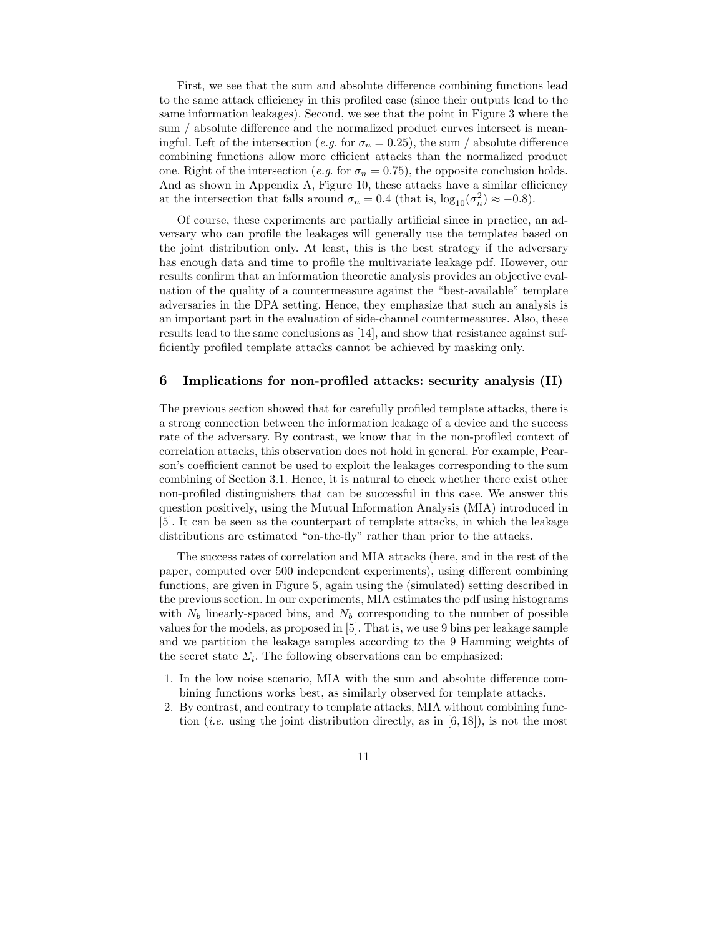First, we see that the sum and absolute difference combining functions lead to the same attack efficiency in this profiled case (since their outputs lead to the same information leakages). Second, we see that the point in Figure 3 where the sum / absolute difference and the normalized product curves intersect is meaningful. Left of the intersection (e.g. for  $\sigma_n = 0.25$ ), the sum / absolute difference combining functions allow more efficient attacks than the normalized product one. Right of the intersection (*e.g.* for  $\sigma_n = 0.75$ ), the opposite conclusion holds. And as shown in Appendix A, Figure 10, these attacks have a similar efficiency at the intersection that falls around  $\sigma_n = 0.4$  (that is,  $\log_{10}(\sigma_n^2) \approx -0.8$ ).

Of course, these experiments are partially artificial since in practice, an adversary who can profile the leakages will generally use the templates based on the joint distribution only. At least, this is the best strategy if the adversary has enough data and time to profile the multivariate leakage pdf. However, our results confirm that an information theoretic analysis provides an objective evaluation of the quality of a countermeasure against the "best-available" template adversaries in the DPA setting. Hence, they emphasize that such an analysis is an important part in the evaluation of side-channel countermeasures. Also, these results lead to the same conclusions as [14], and show that resistance against sufficiently profiled template attacks cannot be achieved by masking only.

#### 6 Implications for non-profiled attacks: security analysis (II)

The previous section showed that for carefully profiled template attacks, there is a strong connection between the information leakage of a device and the success rate of the adversary. By contrast, we know that in the non-profiled context of correlation attacks, this observation does not hold in general. For example, Pearson's coefficient cannot be used to exploit the leakages corresponding to the sum combining of Section 3.1. Hence, it is natural to check whether there exist other non-profiled distinguishers that can be successful in this case. We answer this question positively, using the Mutual Information Analysis (MIA) introduced in [5]. It can be seen as the counterpart of template attacks, in which the leakage distributions are estimated "on-the-fly" rather than prior to the attacks.

The success rates of correlation and MIA attacks (here, and in the rest of the paper, computed over 500 independent experiments), using different combining functions, are given in Figure 5, again using the (simulated) setting described in the previous section. In our experiments, MIA estimates the pdf using histograms with  $N_b$  linearly-spaced bins, and  $N_b$  corresponding to the number of possible values for the models, as proposed in [5]. That is, we use 9 bins per leakage sample and we partition the leakage samples according to the 9 Hamming weights of the secret state  $\Sigma_i$ . The following observations can be emphasized:

- 1. In the low noise scenario, MIA with the sum and absolute difference combining functions works best, as similarly observed for template attacks.
- 2. By contrast, and contrary to template attacks, MIA without combining function (*i.e.* using the joint distribution directly, as in  $[6, 18]$ ), is not the most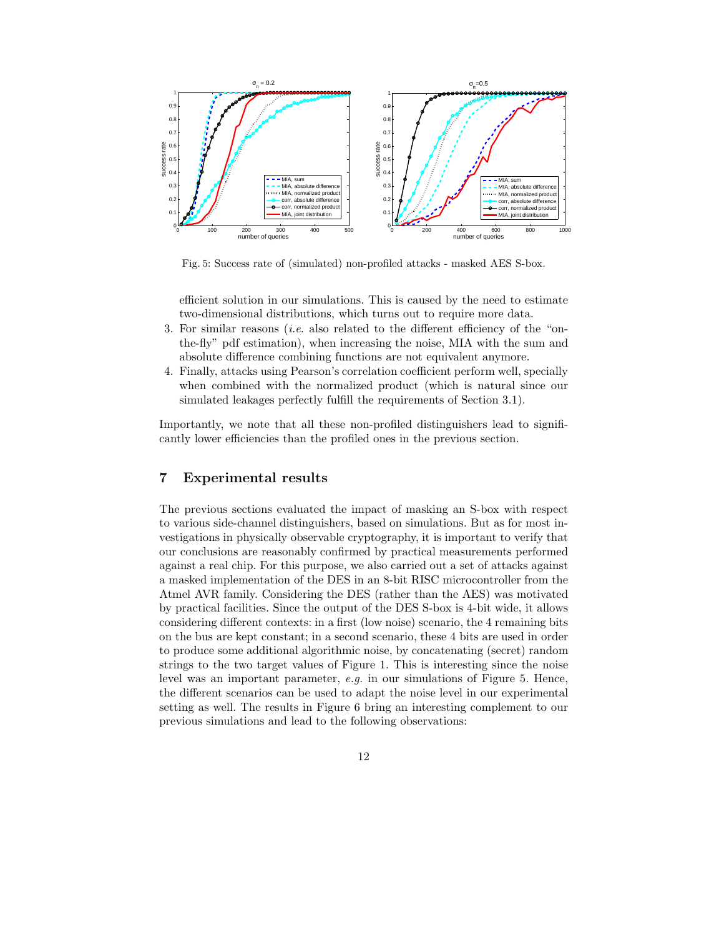

Fig. 5: Success rate of (simulated) non-profiled attacks - masked AES S-box.

efficient solution in our simulations. This is caused by the need to estimate two-dimensional distributions, which turns out to require more data.

- 3. For similar reasons (i.e. also related to the different efficiency of the "onthe-fly" pdf estimation), when increasing the noise, MIA with the sum and absolute difference combining functions are not equivalent anymore.
- 4. Finally, attacks using Pearson's correlation coefficient perform well, specially when combined with the normalized product (which is natural since our simulated leakages perfectly fulfill the requirements of Section 3.1).

Importantly, we note that all these non-profiled distinguishers lead to significantly lower efficiencies than the profiled ones in the previous section.

## 7 Experimental results

The previous sections evaluated the impact of masking an S-box with respect to various side-channel distinguishers, based on simulations. But as for most investigations in physically observable cryptography, it is important to verify that our conclusions are reasonably confirmed by practical measurements performed against a real chip. For this purpose, we also carried out a set of attacks against a masked implementation of the DES in an 8-bit RISC microcontroller from the Atmel AVR family. Considering the DES (rather than the AES) was motivated by practical facilities. Since the output of the DES S-box is 4-bit wide, it allows considering different contexts: in a first (low noise) scenario, the 4 remaining bits on the bus are kept constant; in a second scenario, these 4 bits are used in order to produce some additional algorithmic noise, by concatenating (secret) random strings to the two target values of Figure 1. This is interesting since the noise level was an important parameter, e.g. in our simulations of Figure 5. Hence, the different scenarios can be used to adapt the noise level in our experimental setting as well. The results in Figure 6 bring an interesting complement to our previous simulations and lead to the following observations: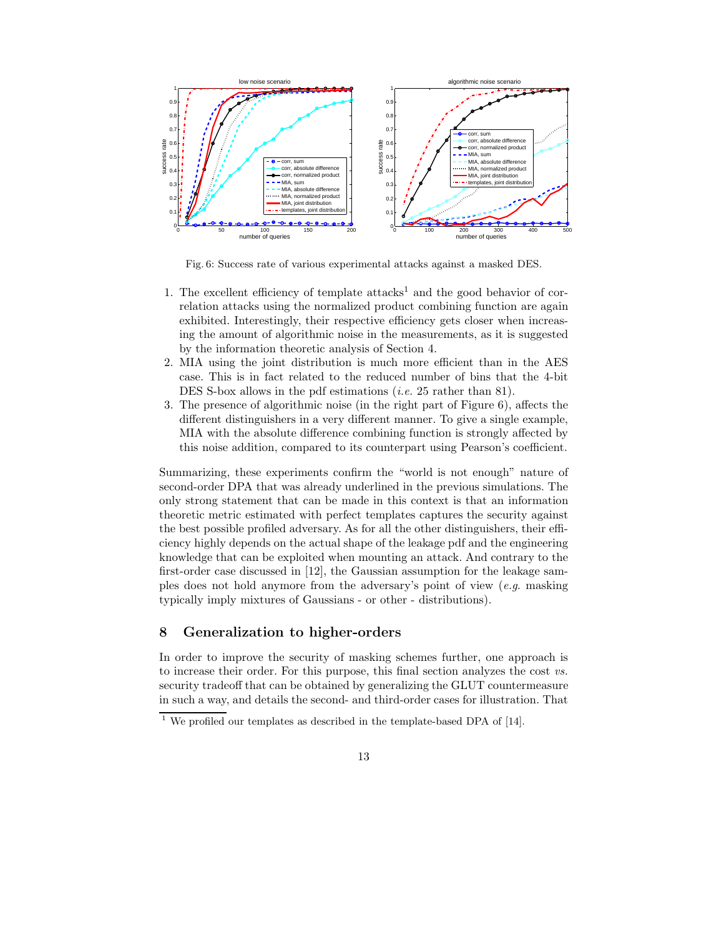

Fig. 6: Success rate of various experimental attacks against a masked DES.

- 1. The excellent efficiency of template attacks<sup>1</sup> and the good behavior of correlation attacks using the normalized product combining function are again exhibited. Interestingly, their respective efficiency gets closer when increasing the amount of algorithmic noise in the measurements, as it is suggested by the information theoretic analysis of Section 4.
- 2. MIA using the joint distribution is much more efficient than in the AES case. This is in fact related to the reduced number of bins that the 4-bit DES S-box allows in the pdf estimations (*i.e.* 25 rather than 81).
- 3. The presence of algorithmic noise (in the right part of Figure 6), affects the different distinguishers in a very different manner. To give a single example, MIA with the absolute difference combining function is strongly affected by this noise addition, compared to its counterpart using Pearson's coefficient.

Summarizing, these experiments confirm the "world is not enough" nature of second-order DPA that was already underlined in the previous simulations. The only strong statement that can be made in this context is that an information theoretic metric estimated with perfect templates captures the security against the best possible profiled adversary. As for all the other distinguishers, their efficiency highly depends on the actual shape of the leakage pdf and the engineering knowledge that can be exploited when mounting an attack. And contrary to the first-order case discussed in [12], the Gaussian assumption for the leakage samples does not hold anymore from the adversary's point of view (e.g. masking typically imply mixtures of Gaussians - or other - distributions).

### 8 Generalization to higher-orders

In order to improve the security of masking schemes further, one approach is to increase their order. For this purpose, this final section analyzes the cost vs. security tradeoff that can be obtained by generalizing the GLUT countermeasure in such a way, and details the second- and third-order cases for illustration. That

 $1$  We profiled our templates as described in the template-based DPA of [14].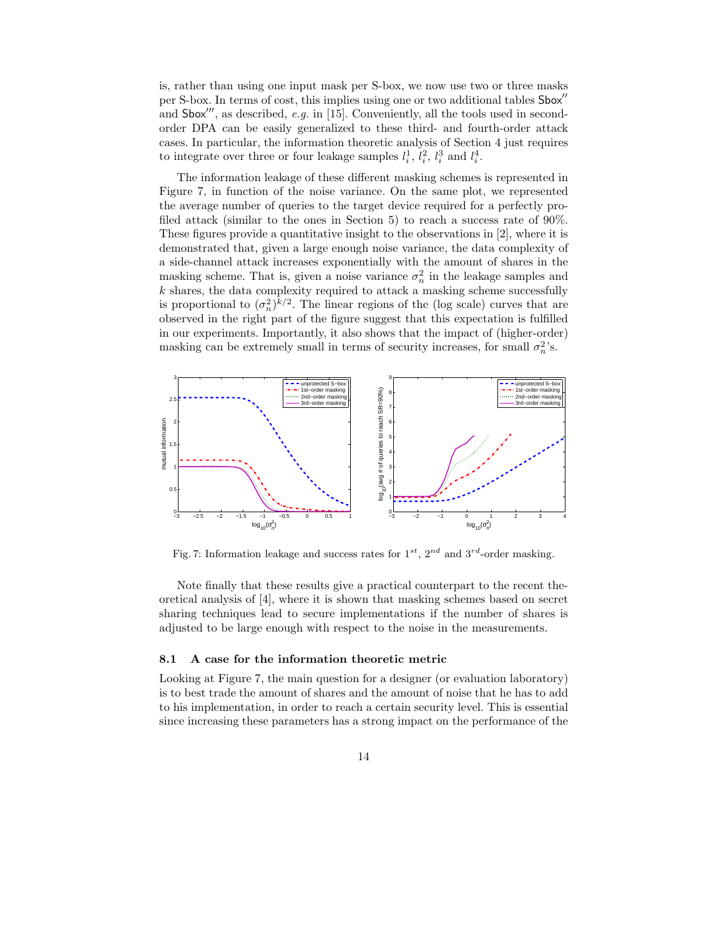is, rather than using one input mask per S-box, we now use two or three masks per S-box. In terms of cost, this implies using one or two additional tables Sbox′′ and Sbox''', as described, e.g. in [15]. Conveniently, all the tools used in secondorder DPA can be easily generalized to these third- and fourth-order attack cases. In particular, the information theoretic analysis of Section 4 just requires to integrate over three or four leakage samples  $l_i^1$ ,  $l_i^2$ ,  $l_i^3$  and  $l_i^4$ .

The information leakage of these different masking schemes is represented in Figure 7, in function of the noise variance. On the same plot, we represented the average number of queries to the target device required for a perfectly profiled attack (similar to the ones in Section 5) to reach a success rate of 90%. These figures provide a quantitative insight to the observations in [2], where it is demonstrated that, given a large enough noise variance, the data complexity of a side-channel attack increases exponentially with the amount of shares in the masking scheme. That is, given a noise variance  $\sigma_n^2$  in the leakage samples and k shares, the data complexity required to attack a masking scheme successfully is proportional to  $(\sigma_n^2)^{k/2}$ . The linear regions of the (log scale) curves that are observed in the right part of the figure suggest that this expectation is fulfilled in our experiments. Importantly, it also shows that the impact of (higher-order) masking can be extremely small in terms of security increases, for small  $\sigma_n^2$ 's.



Fig. 7: Information leakage and success rates for  $1^{st}$ ,  $2^{nd}$  and  $3^{rd}$ -order masking.

Note finally that these results give a practical counterpart to the recent theoretical analysis of [4], where it is shown that masking schemes based on secret sharing techniques lead to secure implementations if the number of shares is adjusted to be large enough with respect to the noise in the measurements.

#### 8.1 A case for the information theoretic metric

Looking at Figure 7, the main question for a designer (or evaluation laboratory) is to best trade the amount of shares and the amount of noise that he has to add to his implementation, in order to reach a certain security level. This is essential since increasing these parameters has a strong impact on the performance of the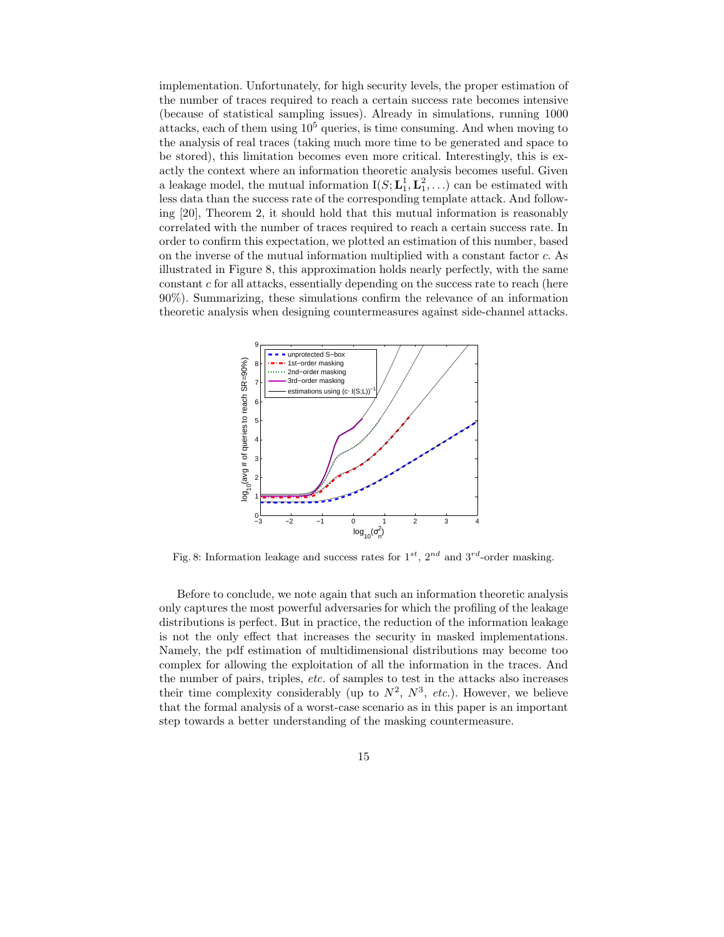implementation. Unfortunately, for high security levels, the proper estimation of the number of traces required to reach a certain success rate becomes intensive (because of statistical sampling issues). Already in simulations, running 1000 attacks, each of them using  $10<sup>5</sup>$  queries, is time consuming. And when moving to the analysis of real traces (taking much more time to be generated and space to be stored), this limitation becomes even more critical. Interestingly, this is exactly the context where an information theoretic analysis becomes useful. Given a leakage model, the mutual information  $I(S; L_1^1, L_1^2, \ldots)$  can be estimated with less data than the success rate of the corresponding template attack. And following [20], Theorem 2, it should hold that this mutual information is reasonably correlated with the number of traces required to reach a certain success rate. In order to confirm this expectation, we plotted an estimation of this number, based on the inverse of the mutual information multiplied with a constant factor c. As illustrated in Figure 8, this approximation holds nearly perfectly, with the same constant c for all attacks, essentially depending on the success rate to reach (here 90%). Summarizing, these simulations confirm the relevance of an information theoretic analysis when designing countermeasures against side-channel attacks.



Fig. 8: Information leakage and success rates for  $1^{st}$ ,  $2^{nd}$  and  $3^{rd}$ -order masking.

Before to conclude, we note again that such an information theoretic analysis only captures the most powerful adversaries for which the profiling of the leakage distributions is perfect. But in practice, the reduction of the information leakage is not the only effect that increases the security in masked implementations. Namely, the pdf estimation of multidimensional distributions may become too complex for allowing the exploitation of all the information in the traces. And the number of pairs, triples, etc. of samples to test in the attacks also increases their time complexity considerably (up to  $N^2$ ,  $N^3$ , *etc.*). However, we believe that the formal analysis of a worst-case scenario as in this paper is an important step towards a better understanding of the masking countermeasure.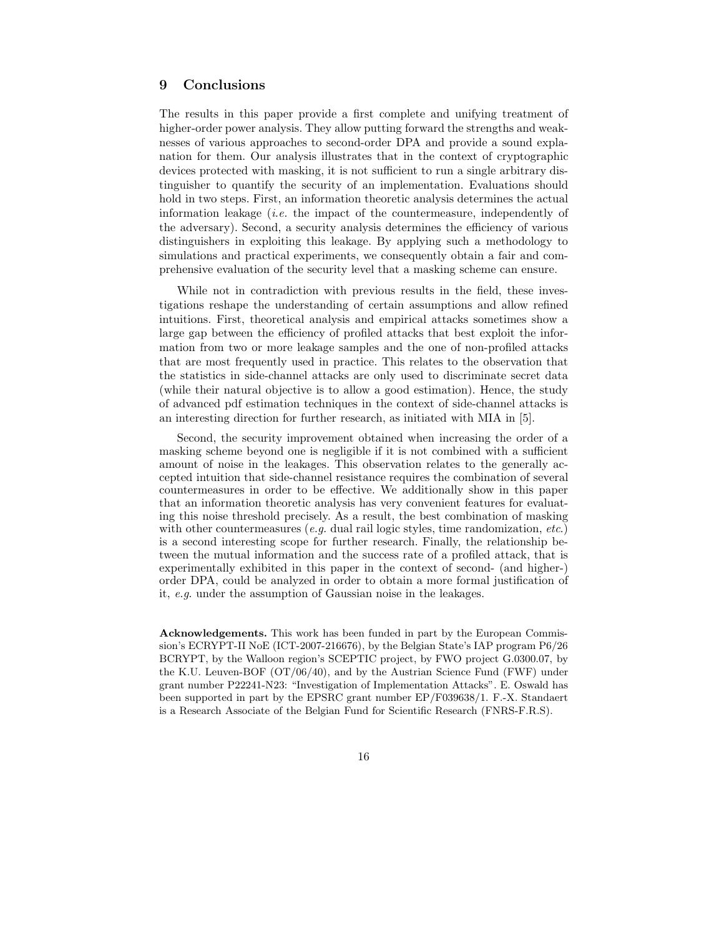# 9 Conclusions

The results in this paper provide a first complete and unifying treatment of higher-order power analysis. They allow putting forward the strengths and weaknesses of various approaches to second-order DPA and provide a sound explanation for them. Our analysis illustrates that in the context of cryptographic devices protected with masking, it is not sufficient to run a single arbitrary distinguisher to quantify the security of an implementation. Evaluations should hold in two steps. First, an information theoretic analysis determines the actual information leakage  $(i.e.$  the impact of the countermeasure, independently of the adversary). Second, a security analysis determines the efficiency of various distinguishers in exploiting this leakage. By applying such a methodology to simulations and practical experiments, we consequently obtain a fair and comprehensive evaluation of the security level that a masking scheme can ensure.

While not in contradiction with previous results in the field, these investigations reshape the understanding of certain assumptions and allow refined intuitions. First, theoretical analysis and empirical attacks sometimes show a large gap between the efficiency of profiled attacks that best exploit the information from two or more leakage samples and the one of non-profiled attacks that are most frequently used in practice. This relates to the observation that the statistics in side-channel attacks are only used to discriminate secret data (while their natural objective is to allow a good estimation). Hence, the study of advanced pdf estimation techniques in the context of side-channel attacks is an interesting direction for further research, as initiated with MIA in [5].

Second, the security improvement obtained when increasing the order of a masking scheme beyond one is negligible if it is not combined with a sufficient amount of noise in the leakages. This observation relates to the generally accepted intuition that side-channel resistance requires the combination of several countermeasures in order to be effective. We additionally show in this paper that an information theoretic analysis has very convenient features for evaluating this noise threshold precisely. As a result, the best combination of masking with other countermeasures (e.g. dual rail logic styles, time randomization, etc.) is a second interesting scope for further research. Finally, the relationship between the mutual information and the success rate of a profiled attack, that is experimentally exhibited in this paper in the context of second- (and higher-) order DPA, could be analyzed in order to obtain a more formal justification of it, e.g. under the assumption of Gaussian noise in the leakages.

Acknowledgements. This work has been funded in part by the European Commission's ECRYPT-II NoE (ICT-2007-216676), by the Belgian State's IAP program P6/26 BCRYPT, by the Walloon region's SCEPTIC project, by FWO project G.0300.07, by the K.U. Leuven-BOF  $(OT/06/40)$ , and by the Austrian Science Fund (FWF) under grant number P22241-N23: "Investigation of Implementation Attacks". E. Oswald has been supported in part by the EPSRC grant number EP/F039638/1. F.-X. Standaert is a Research Associate of the Belgian Fund for Scientific Research (FNRS-F.R.S).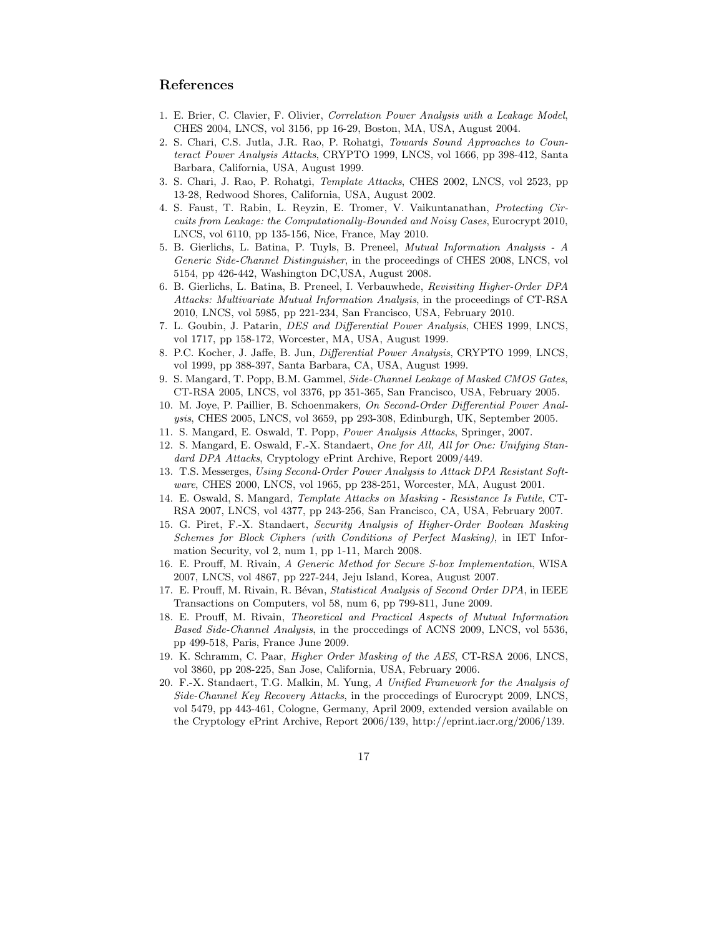## References

- 1. E. Brier, C. Clavier, F. Olivier, Correlation Power Analysis with a Leakage Model, CHES 2004, LNCS, vol 3156, pp 16-29, Boston, MA, USA, August 2004.
- 2. S. Chari, C.S. Jutla, J.R. Rao, P. Rohatgi, Towards Sound Approaches to Counteract Power Analysis Attacks, CRYPTO 1999, LNCS, vol 1666, pp 398-412, Santa Barbara, California, USA, August 1999.
- 3. S. Chari, J. Rao, P. Rohatgi, Template Attacks, CHES 2002, LNCS, vol 2523, pp 13-28, Redwood Shores, California, USA, August 2002.
- 4. S. Faust, T. Rabin, L. Reyzin, E. Tromer, V. Vaikuntanathan, Protecting Circuits from Leakage: the Computationally-Bounded and Noisy Cases, Eurocrypt 2010, LNCS, vol 6110, pp 135-156, Nice, France, May 2010.
- 5. B. Gierlichs, L. Batina, P. Tuyls, B. Preneel, Mutual Information Analysis A Generic Side-Channel Distinguisher, in the proceedings of CHES 2008, LNCS, vol 5154, pp 426-442, Washington DC,USA, August 2008.
- 6. B. Gierlichs, L. Batina, B. Preneel, I. Verbauwhede, Revisiting Higher-Order DPA Attacks: Multivariate Mutual Information Analysis, in the proceedings of CT-RSA 2010, LNCS, vol 5985, pp 221-234, San Francisco, USA, February 2010.
- 7. L. Goubin, J. Patarin, DES and Differential Power Analysis, CHES 1999, LNCS, vol 1717, pp 158-172, Worcester, MA, USA, August 1999.
- 8. P.C. Kocher, J. Jaffe, B. Jun, Differential Power Analysis, CRYPTO 1999, LNCS, vol 1999, pp 388-397, Santa Barbara, CA, USA, August 1999.
- 9. S. Mangard, T. Popp, B.M. Gammel, Side-Channel Leakage of Masked CMOS Gates, CT-RSA 2005, LNCS, vol 3376, pp 351-365, San Francisco, USA, February 2005.
- 10. M. Joye, P. Paillier, B. Schoenmakers, On Second-Order Differential Power Analysis, CHES 2005, LNCS, vol 3659, pp 293-308, Edinburgh, UK, September 2005.
- 11. S. Mangard, E. Oswald, T. Popp, Power Analysis Attacks, Springer, 2007.
- 12. S. Mangard, E. Oswald, F.-X. Standaert, One for All, All for One: Unifying Standard DPA Attacks, Cryptology ePrint Archive, Report 2009/449.
- 13. T.S. Messerges, Using Second-Order Power Analysis to Attack DPA Resistant Software, CHES 2000, LNCS, vol 1965, pp 238-251, Worcester, MA, August 2001.
- 14. E. Oswald, S. Mangard, Template Attacks on Masking Resistance Is Futile, CT-RSA 2007, LNCS, vol 4377, pp 243-256, San Francisco, CA, USA, February 2007.
- 15. G. Piret, F.-X. Standaert, Security Analysis of Higher-Order Boolean Masking Schemes for Block Ciphers (with Conditions of Perfect Masking), in IET Information Security, vol 2, num 1, pp 1-11, March 2008.
- 16. E. Prouff, M. Rivain, A Generic Method for Secure S-box Implementation, WISA 2007, LNCS, vol 4867, pp 227-244, Jeju Island, Korea, August 2007.
- 17. E. Prouff, M. Rivain, R. Bévan, Statistical Analysis of Second Order DPA, in IEEE Transactions on Computers, vol 58, num 6, pp 799-811, June 2009.
- 18. E. Prouff, M. Rivain, Theoretical and Practical Aspects of Mutual Information Based Side-Channel Analysis, in the proccedings of ACNS 2009, LNCS, vol 5536, pp 499-518, Paris, France June 2009.
- 19. K. Schramm, C. Paar, Higher Order Masking of the AES, CT-RSA 2006, LNCS, vol 3860, pp 208-225, San Jose, California, USA, February 2006.
- 20. F.-X. Standaert, T.G. Malkin, M. Yung, A Unified Framework for the Analysis of Side-Channel Key Recovery Attacks, in the proccedings of Eurocrypt 2009, LNCS, vol 5479, pp 443-461, Cologne, Germany, April 2009, extended version available on the Cryptology ePrint Archive, Report 2006/139, http://eprint.iacr.org/2006/139.